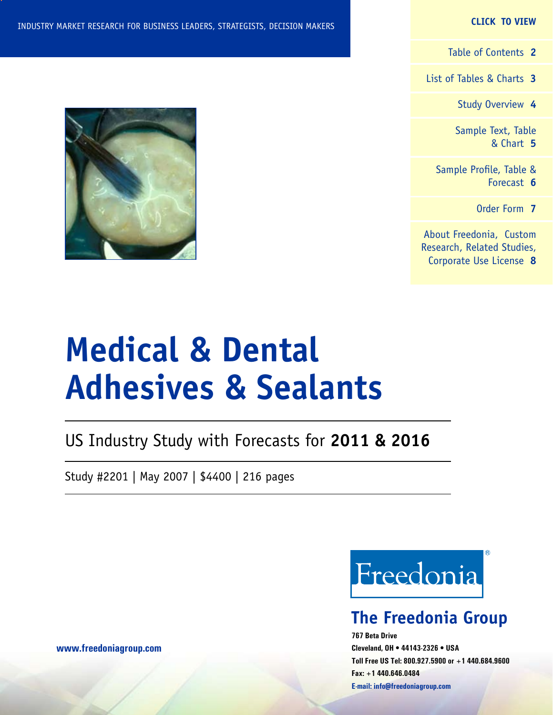#### **CLICK TO VIEW**

[Table of Contents](#page-1-0) **2**

[List of Tables & Charts](#page-2-0) **3**

[Study Overview](#page-3-0) **4**

[Sample Text, Table](#page-4-0) [& Chart](#page-4-0) **5**

[Sample Profile, Table &](#page-5-0) [Forecast](#page-5-0) **6**

[Order Form](#page-6-0) **7**

[About Freedonia, Custom](#page-7-0) [Research, Related Studies,](#page-7-0) [Corporate Use License](#page-7-0) **8**

# **Medical & Dental Adhesives & Sealants**

# US Industry Study with Forecasts for **2011 & 2016**

Study #2201 | May 2007 | \$4400 | 216 pages

Freedonia

## **The Freedonia Group**

**767 Beta Drive Cleveland, OH • 44143-2326 • USA Toll Free US Tel: 800.927.5900 or +1 440.684.9600 Fax: +1 440.646.0484 E-mail: [info@freedoniagroup.com](mailto:info@freedoniagroup.com)**

**[www.freedoniagroup.com](http://www.freedoniagroup.com/Home.aspx?ReferrerId=FM-Bro)**

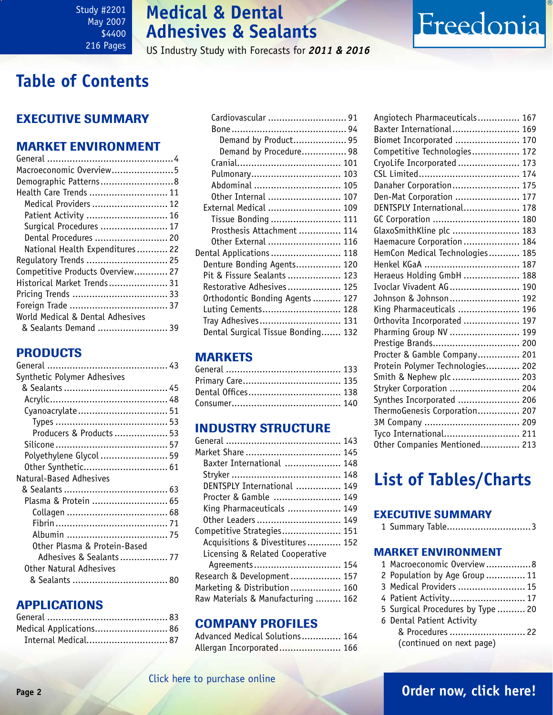# **Medical & Dental Adhesives & Sealants**

US Industry Study with Forecasts for *2011 & 2016*

# <span id="page-1-0"></span>**Table of Contents**

## Executive Summary

## Market EnvironmenT

| Macroeconomic Overview5          |
|----------------------------------|
| Demographic Patterns8            |
| Health Care Trends  11           |
| Medical Providers  12            |
| Patient Activity  16             |
| Surgical Procedures  17          |
| Dental Procedures  20            |
| National Health Expenditures 22  |
| Regulatory Trends  25            |
| Competitive Products Overview 27 |
| Historical Market Trends 31      |
|                                  |
|                                  |
| World Medical & Dental Adhesives |
| & Sealants Demand  39            |

## PRODUCTS

| Synthetic Polymer Adhesives  |  |
|------------------------------|--|
|                              |  |
|                              |  |
| Cyanoacrylate 51             |  |
|                              |  |
| Producers & Products 53      |  |
|                              |  |
| Polyethylene Glycol  59      |  |
| Other Synthetic 61           |  |
| Natural-Based Adhesives      |  |
|                              |  |
| Plasma & Protein  65         |  |
|                              |  |
|                              |  |
|                              |  |
| Other Plasma & Protein-Based |  |
| Adhesives & Sealants 77      |  |
| Other Natural Adhesives      |  |
|                              |  |
|                              |  |

## APPLICATIONS

| Medical Applications 86 |  |
|-------------------------|--|
| Internal Medical 87     |  |

| Cardiovascular  91                 |  |
|------------------------------------|--|
|                                    |  |
| Demand by Product 95               |  |
| Demand by Procedure 98             |  |
|                                    |  |
| Pulmonary 103                      |  |
| Abdominal  105                     |  |
| Other Internal  107                |  |
| External Medical  109              |  |
| Tissue Bonding  111                |  |
| Prosthesis Attachment  114         |  |
| Other External  116                |  |
| Dental Applications  118           |  |
| Denture Bonding Agents 120         |  |
| Pit & Fissure Sealants  123        |  |
| Restorative Adhesives 125          |  |
| Orthodontic Bonding Agents  127    |  |
| Luting Cements 128                 |  |
| Tray Adhesives 131                 |  |
| Dental Surgical Tissue Bonding 132 |  |

## **MARKETS**

| Dental Offices 138 |  |
|--------------------|--|
|                    |  |

## INDUSTRY STRUCTURE

| Market Share  145                  |  |
|------------------------------------|--|
| Baxter International  148          |  |
|                                    |  |
| DENTSPLY International  149        |  |
| Procter & Gamble  149              |  |
| King Pharmaceuticals  149          |  |
| Other Leaders  149                 |  |
| Competitive Strategies 151         |  |
| Acquisitions & Divestitures 152    |  |
| Licensing & Related Cooperative    |  |
| Agreements 154                     |  |
| Research & Development 157         |  |
| Marketing & Distribution 160       |  |
| Raw Materials & Manufacturing  162 |  |

## Company Profiles

| Advanced Medical Solutions 164 |  |
|--------------------------------|--|
| Allergan Incorporated 166      |  |

| Angiotech Pharmaceuticals 167    |  |
|----------------------------------|--|
| Baxter International 169         |  |
| Biomet Incorporated  170         |  |
| Competitive Technologies 172     |  |
| CryoLife Incorporated  173       |  |
|                                  |  |
| Danaher Corporation 175          |  |
| Den-Mat Corporation  177         |  |
| DENTSPLY International 178       |  |
| GC Corporation  180              |  |
| GlaxoSmithKline plc  183         |  |
| Haemacure Corporation 184        |  |
| HemCon Medical Technologies 185  |  |
| Henkel KGaA  187                 |  |
| Heraeus Holding GmbH  188        |  |
| Ivoclar Vivadent AG 190          |  |
| Johnson & Johnson 192            |  |
| King Pharmaceuticals  196        |  |
| Orthovita Incorporated  197      |  |
| Pharming Group NV  199           |  |
| Prestige Brands 200              |  |
| Procter & Gamble Company 201     |  |
| Protein Polymer Technologies 202 |  |
| Smith & Nephew plc  203          |  |
| Stryker Corporation  204         |  |
| Synthes Incorporated  206        |  |
| ThermoGenesis Corporation 207    |  |
| 3M Company  209                  |  |
| Tyco International 211           |  |
| Other Companies Mentioned 213    |  |

Freedonia

# **List of Tables/Charts**

## Executive Summary

1 Summary Table..............................3

## Market EnvironmenT

| 1 Macroeconomic Overview 8        |
|-----------------------------------|
| 2 Population by Age Group  11     |
| 3 Medical Providers  15           |
| 4 Patient Activity 17             |
| 5 Surgical Procedures by Type  20 |
|                                   |
| & Procedures  22                  |
|                                   |
|                                   |

## **Page 2 [Order now, click here!](#page-6-0)**

## [Click here to purchase online](http://www.freedoniagroup.com/DocumentDetails.aspx?Referrerid=FM-Bro&StudyID=2201)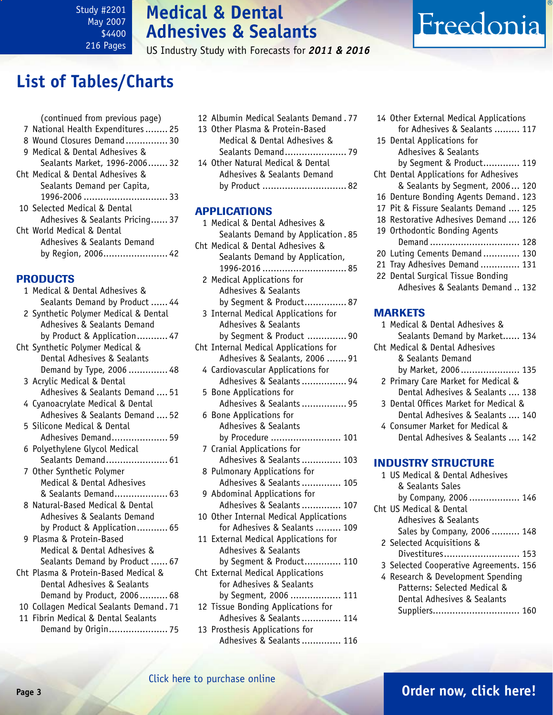Study #2201 May 2007 \$4400 216 Pages

# **Medical & Dental Adhesives & Sealants**

US Industry Study with Forecasts for *2011 & 2016*

# <span id="page-2-0"></span>**List of Tables/Charts**

|                 | (continued from previous page)<br>7 National Health Expenditures 25 |  |
|-----------------|---------------------------------------------------------------------|--|
|                 | 8 Wound Closures Demand 30                                          |  |
|                 | 9 Medical & Dental Adhesives &                                      |  |
|                 | Sealants Market, 1996-2006 32                                       |  |
|                 | Cht Medical & Dental Adhesives &                                    |  |
|                 | Sealants Demand per Capita,                                         |  |
|                 |                                                                     |  |
|                 | 10 Selected Medical & Dental                                        |  |
|                 | Adhesives & Sealants Pricing 37                                     |  |
|                 | Cht World Medical & Dental                                          |  |
|                 | Adhesives & Sealants Demand                                         |  |
|                 | by Region, 2006 42                                                  |  |
| <b>PRODUCTS</b> |                                                                     |  |
|                 | 1 Medical & Dental Adhesives &                                      |  |
|                 | Sealants Demand by Product  44                                      |  |
|                 | 2 Synthetic Polymer Medical & Dental                                |  |
|                 | Adhesives & Sealants Demand                                         |  |
|                 |                                                                     |  |

| by Product & Application 47      |
|----------------------------------|
| Cht Synthetic Polymer Medical &  |
| Dental Adhesives & Sealants      |
| Demand by Type, 2006  48         |
| 3 Acrylic Medical & Dental       |
| Adhesives & Sealants Demand  51  |
| 4 Cyanoacrylate Medical & Dental |
| Adhesives & Sealants Demand  52  |
| 5 Silicone Medical & Dental      |
| Adhesives Demand 59              |
| 6 Polyethylene Glycol Medical    |
| Sealants Demand 61               |
| 7 Other Synthetic Polymer        |
| Medical & Dental Adhesives       |
| & Sealants Demand 63             |
| 8 Natural-Based Medical & Dental |
| Adhesives & Sealants Demand      |
| by Product & Application 65      |
| 9 Plasma & Protein-Based         |
| Medical & Dental Adhesives &     |
| Sealants Demand by Product  67   |

| Cht Plasma & Protein-Based Medical &    |  |
|-----------------------------------------|--|
| Dental Adhesives & Sealants             |  |
| Demand by Product, 2006 68              |  |
| 10 Collagen Medical Sealants Demand. 71 |  |

11 Fibrin Medical & Dental Sealants Demand by Origin..................... 75

| 12 Albumin Medical Sealants Demand, 77 |
|----------------------------------------|
| 13 Other Plasma & Protein-Based        |
| Medical & Dental Adhesives &           |
|                                        |
| 14 Other Natural Medical & Dental      |
| Adhesives & Sealants Demand            |
| by Product  82                         |

## APPLICATIONS

| 1 Medical & Dental Adhesives &         |
|----------------------------------------|
| Sealants Demand by Application. 85     |
| Cht Medical & Dental Adhesives &       |
| Sealants Demand by Application,        |
|                                        |
| 2 Medical Applications for             |
| Adhesives & Sealants                   |
| by Seqment & Product 87                |
| 3 Internal Medical Applications for    |
| Adhesives & Sealants                   |
| by Segment & Product  90               |
| Cht Internal Medical Applications for  |
| Adhesives & Sealants, 2006  91         |
| 4 Cardiovascular Applications for      |
| Adhesives & Sealants  94               |
| 5 Bone Applications for                |
| Adhesives & Sealants  95               |
| 6 Bone Applications for                |
| Adhesives & Sealants                   |
| by Procedure  101                      |
| 7 Cranial Applications for             |
| Adhesives & Sealants 103               |
| 8 Pulmonary Applications for           |
| Adhesives & Sealants  105              |
| 9 Abdominal Applications for           |
| Adhesives & Sealants 107               |
| 10 Other Internal Medical Applications |
| for Adhesives & Sealants  109          |
| 11 External Medical Applications for   |
| Adhesives & Sealants                   |
| by Segment & Product 110               |
| Cht External Medical Applications      |
| for Adhesives & Sealants               |
| by Segment, 2006  111                  |
| 12 Tissue Bonding Applications for     |
| Adhesives & Sealants  114              |
| 13 Prosthesis Applications for         |
| Adhesives & Sealants 116               |

14 Other External Medical Applications for Adhesives & Sealants ......... 117 15 Dental Applications for Adhesives & Sealants

Freedonia

 by Segment & Product............. 119 Cht Dental Applications for Adhesives

- & Sealants by Segment, 2006... 120
- 16 Denture Bonding Agents Demand. 123
- 17 Pit & Fissure Sealants Demand .... 125
- 18 Restorative Adhesives Demand .... 126
- 19 Orthodontic Bonding Agents
- Demand ................................ 128
- 20 Luting Cements Demand ............. 130 21 Tray Adhesives Demand .............. 131
- 22 Dental Surgical Tissue Bonding
	- Adhesives & Sealants Demand .. 132

## **MARKETS**

1 Medical & Dental Adhesives & Sealants Demand by Market...... 134 Cht Medical & Dental Adhesives & Sealants Demand by Market, 2006..................... 135 2 Primary Care Market for Medical & Dental Adhesives & Sealants .... 138 3 Dental Offices Market for Medical & Dental Adhesives & Sealants .... 140 4 Consumer Market for Medical & Dental Adhesives & Sealants .... 142

## INDUSTRY STRUCTURE

| 1 US Medical & Dental Adhesives        |
|----------------------------------------|
| & Sealants Sales                       |
| by Company, 2006  146                  |
| Cht US Medical & Dental                |
| Adhesives & Sealants                   |
| Sales by Company, 2006  148            |
| 2 Selected Acquisitions &              |
| Divestitures 153                       |
| 3 Selected Cooperative Agreements. 156 |
| 4 Research & Development Spending      |
| Patterns: Selected Medical &           |
| Dental Adhesives & Sealants            |
| Suppliers 16                           |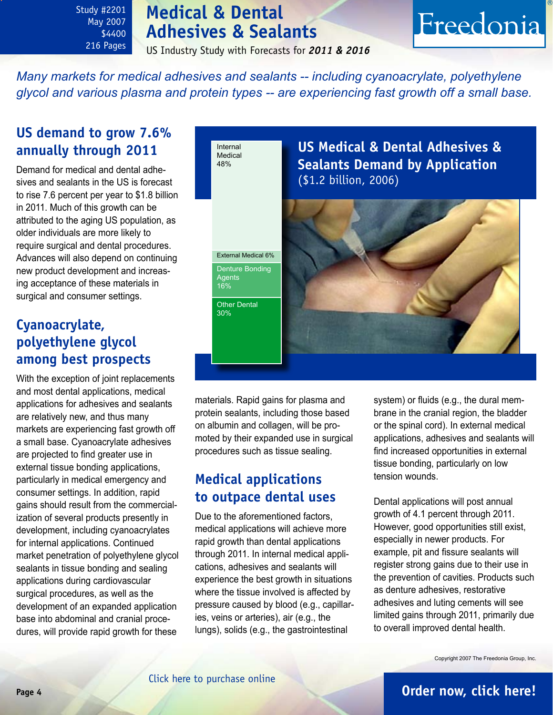Study #2201 May 2007 \$4400 216 Pages

# **Medical & Dental Adhesives & Sealants**

US Industry Study with Forecasts for *2011 & 2016*

Freedonia

<span id="page-3-0"></span>*Many markets for medical adhesives and sealants -- including cyanoacrylate, polyethylene glycol and various plasma and protein types -- are experiencing fast growth off a small base.*

## **US demand to grow 7.6% annually through 2011**

Demand for medical and dental adhesives and sealants in the US is forecast to rise 7.6 percent per year to \$1.8 billion in 2011. Much of this growth can be attributed to the aging US population, as older individuals are more likely to require surgical and dental procedures. Advances will also depend on continuing new product development and increasing acceptance of these materials in surgical and consumer settings.

## **Cyanoacrylate, polyethylene glycol among best prospects**

With the exception of joint replacements and most dental applications, medical applications for adhesives and sealants are relatively new, and thus many markets are experiencing fast growth off a small base. Cyanoacrylate adhesives are projected to find greater use in external tissue bonding applications, particularly in medical emergency and consumer settings. In addition, rapid gains should result from the commercialization of several products presently in development, including cyanoacrylates for internal applications. Continued market penetration of polyethylene glycol sealants in tissue bonding and sealing applications during cardiovascular surgical procedures, as well as the development of an expanded application base into abdominal and cranial procedures, will provide rapid growth for these



materials. Rapid gains for plasma and protein sealants, including those based on albumin and collagen, will be promoted by their expanded use in surgical procedures such as tissue sealing.

## **Medical applications to outpace dental uses**

Due to the aforementioned factors, medical applications will achieve more rapid growth than dental applications through 2011. In internal medical applications, adhesives and sealants will experience the best growth in situations where the tissue involved is affected by pressure caused by blood (e.g., capillaries, veins or arteries), air (e.g., the lungs), solids (e.g., the gastrointestinal

system) or fluids (e.g., the dural membrane in the cranial region, the bladder or the spinal cord). In external medical applications, adhesives and sealants will find increased opportunities in external tissue bonding, particularly on low tension wounds.

Dental applications will post annual growth of 4.1 percent through 2011. However, good opportunities still exist, especially in newer products. For example, pit and fissure sealants will register strong gains due to their use in the prevention of cavities. Products such as denture adhesives, restorative adhesives and luting cements will see limited gains through 2011, primarily due to overall improved dental health.

Copyright 2007 The Freedonia Group, Inc.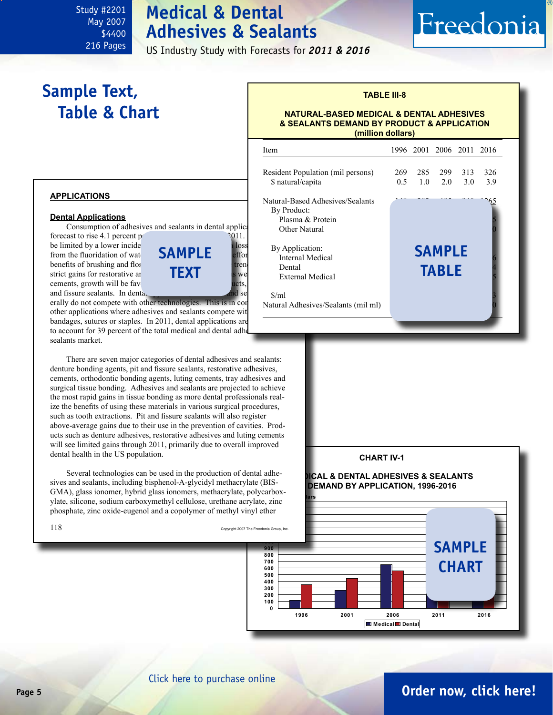# **Medical & Dental Adhesives & Sealants**

US Industry Study with Forecasts for *2011 & 2016*

# **Sample Text, Table & Chart**

<span id="page-4-0"></span>Study #2201 May 2007 \$4400 216 Pages

## **TABLE III-8**

Freedonia

#### **NATURAL-BASED MEDICAL & DENTAL ADHESIVES & SEALANTS DEMAND BY PRODUCT & APPLICATION (million dollars)**

|  | APPLICATIONS |  |
|--|--------------|--|
|  |              |  |

#### **Dental Applications**

Consumption of adhesives and sealants in dental applications of

**text**



erally do not compete with other technologies. This is in contain other applications where adhesives and sealants compete wit bandages, sutures or staples. In 2011, dental applications are to account for 39 percent of the total medical and dental adhesive sealants market.

There are seven major categories of dental adhesives and sealants: denture bonding agents, pit and fissure sealants, restorative adhesives, cements, orthodontic bonding agents, luting cements, tray adhesives and surgical tissue bonding. Adhesives and sealants are projected to achieve the most rapid gains in tissue bonding as more dental professionals realize the benefits of using these materials in various surgical procedures, such as tooth extractions. Pit and fissure sealants will also register above-average gains due to their use in the prevention of cavities. Products such as denture adhesives, restorative adhesives and luting cements will see limited gains through 2011, primarily due to overall improved dental health in the US population.

**1400 1500** phosphate, zinc oxide-eugenol and a copolymer of methyl vinyl ether ylate, silicone, sodium carboxymethyl cellulose, urethane acrylate, zinc Several technologies can be used in the production of dental adhesives and sealants, including bisphenol-A-glycidyl methacrylate (BIS-GMA), glass ionomer, hybrid glass ionomers, methacrylate, polycarbox-

|  | ×<br>٦ |
|--|--------|

| Item                                                                                                      |            |            | 1996 2001 2006 2011 2016 |            |            |
|-----------------------------------------------------------------------------------------------------------|------------|------------|--------------------------|------------|------------|
| Resident Population (mil persons)<br>\$ natural/capita                                                    | 269<br>0.5 | 285<br>1.0 | 299<br>2.0               | 313<br>3.0 | 326<br>3.9 |
| Natural-Based Adhesives/Sealants<br>By Product:<br>Plasma & Protein<br>Other Natural                      |            |            |                          |            |            |
| By Application:<br><b>SAMPLE</b><br>Internal Medical<br>Dental<br><b>TABLE</b><br><b>External Medical</b> |            |            |                          |            |            |
| \$/ml<br>Natural Adhesives/Sealants (mil ml)                                                              |            |            |                          |            |            |

#### **CHART IV-1**

#### **MEDICAL & DENTAL ADHESIVES & SEALANTS DEMAND BY APPLICATION, 1996-2016**



## **Page 5 [Order now, click here!](#page-6-0)**

## [Click here to purchase online](http://www.freedoniagroup.com/DocumentDetails.aspx?Referrerid=FM-Bro&StudyID=2201)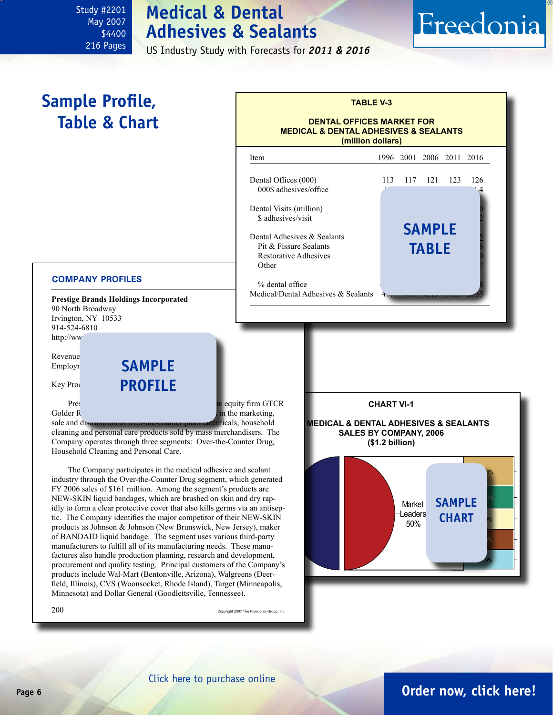# **Medical & Dental Adhesives & Sealants**

US Industry Study with Forecasts for *2011 & 2016*

# Freedonia

# **Sample Profile, Table & Chart**

<span id="page-5-0"></span>Study #2201 May 2007 \$4400 216 Pages

## **TABLE V-3**

#### **DENTAL OFFICES MARKET FOR MEDICAL & DENTAL ADHESIVES & SEALANTS (million dollars)**

| <b>Item</b>                           |     | 1996 2001 2006 2011 2016 |               |     |     |
|---------------------------------------|-----|--------------------------|---------------|-----|-----|
| Dental Offices (000)                  | 113 | 117                      | 121           | 123 | 126 |
| 000\$ adhesives/office                |     |                          |               |     |     |
| Dental Visits (million)               |     |                          |               |     |     |
| \$ adhesives/visit                    |     |                          |               |     |     |
| Dental Adhesives $\&$ Sealants        |     |                          | <b>SAMPLE</b> |     |     |
| Pit & Fissure Sealants                |     |                          | <b>TABLE</b>  |     |     |
| <b>Restorative Adhesives</b><br>Other |     |                          |               |     |     |
|                                       |     |                          |               |     |     |
|                                       |     |                          |               |     |     |
| % dental office                       |     |                          |               |     |     |

#### **COMPANY PROFILES**

**Prestige Brands Holdings Incorporated** 90 North Broadway Irvington, NY 10533 914-524-6810 http://ww

Revenue<sup>1</sup> Employr

Key Proc**ks: PROF sample**

Prestige Brands, a portfolio company of private equity firm GTCR Golder R and private equity firm GTCR Golder R n the marketing, sale and distribution of over-the-counter pharmaceuticals, household

cleaning and personal care products sold by mass merchandisers. The Company operates through three segments: Over-the-Counter Drug, Household Cleaning and Personal Care.

idly to form a clear protective cover that also kills germs via an antiseptic. The Company identifies the major competitor of their NEW-SKIN The Company participates in the medical adhesive and sealant industry through the Over-the-Counter Drug segment, which generated FY 2006 sales of \$161 million. Among the segment's products are NEW-SKIN liquid bandages, which are brushed on skin and dry rapproducts as Johnson & Johnson (New Brunswick, New Jersey), maker of BANDAID liquid bandage. The segment uses various third-party manufacturers to fulfill all of its manufacturing needs. These manufactures also handle production planning, research and development, procurement and quality testing. Principal customers of the Company's products include Wal-Mart (Bentonville, Arizona), Walgreens (Deerfield, Illinois), CVS (Woonsocket, Rhode Island), Target (Minneapolis, Minnesota) and Dollar General (Goodlettsville, Tennessee).

 $200$  Copyright 2007 The Freedonia Group, Inc.

**CHART VI-1 US MEDICAL & DENTAL ADHESIVES & SEALANTS SALES BY COMPANY, 2006 (\$1.2 billion)** Market Leaders 50% 9%  $10%$ 13% **sample chart**

## **Page 6 [Order now, click here!](#page-6-0)**

DENTSPLY

9%

 $1\%$ 

Stryker

Procter & Gamble

King Pharmaceuticals

Baxter International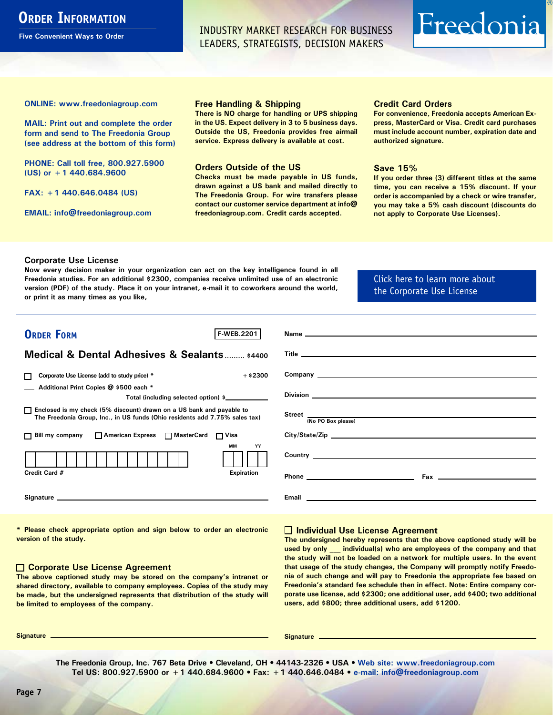## <span id="page-6-0"></span>**ORDER INFORMATION**

**Five Convenient Ways to Order**

INDUSTRY MARKET RESEARCH FOR BUSINESS LEADERS, STRATEGISTS, DECISION MAKERS

# Freedonia

**ONLINE: [www.freedoniagroup.com](http://www.freedoniagroup.com/DocumentDetails.aspx?Referrerid=FM-Bro&StudyID=2201)**

**MAIL: Print out and complete the order form and send to The Freedonia Group (see address at the bottom of this form)**

**PHONE: Call toll free, 800.927.5900 (US) or +1 440.684.9600**

**FAX: +1 440.646.0484 (US)**

**EMAIL: [info@freedoniagroup.com](mailto:info@freedoniagroup.com)**

#### **Free Handling & Shipping**

**There is NO charge for handling or UPS shipping in the US. Expect delivery in 3 to 5 business days. Outside the US, Freedonia provides free airmail service. Express delivery is available at cost.**

#### **Orders Outside of the US**

**Checks must be made payable in US funds, drawn against a US bank and mailed directly to The Freedonia Group. For wire transfers please contact our customer service department at info@ freedoniagroup.com. Credit cards accepted.**

#### **Credit Card Orders**

**For convenience, Freedonia accepts American Express, MasterCard or Visa. Credit card purchases must include account number, expiration date and authorized signature.**

#### **Save 15%**

**If you order three (3) different titles at the same time, you can receive a 15% discount. If your order is accompanied by a check or wire transfer, you may take a 5% cash discount (discounts do not apply to Corporate Use Licenses).**

#### **Corporate Use License**

**Now every decision maker in your organization can act on the key intelligence found in all Freedonia studies. For an additional \$2300, companies receive unlimited use of an electronic version (PDF) of the study. Place it on your intranet, e-mail it to coworkers around the world, or print it as many times as you like,** 

[Click here to learn more about](http://www.freedoniagroup.com/pdf/FreedoniaCULBro.pdf)  [the Corporate Use License](http://www.freedoniagroup.com/pdf/FreedoniaCULBro.pdf)

| <b>ORDER FORM</b><br><b>F-WEB.2201</b>                                                                                                                |                                                                                                                                                                                                                                      |
|-------------------------------------------------------------------------------------------------------------------------------------------------------|--------------------------------------------------------------------------------------------------------------------------------------------------------------------------------------------------------------------------------------|
|                                                                                                                                                       |                                                                                                                                                                                                                                      |
| <b>Medical &amp; Dental Adhesives &amp; Sealants  \$4400</b>                                                                                          |                                                                                                                                                                                                                                      |
| $+$ \$2300<br>Corporate Use License (add to study price) *                                                                                            |                                                                                                                                                                                                                                      |
| Additional Print Copies @ \$500 each *                                                                                                                |                                                                                                                                                                                                                                      |
| Total (including selected option) \$                                                                                                                  |                                                                                                                                                                                                                                      |
| □ Enclosed is my check (5% discount) drawn on a US bank and payable to<br>The Freedonia Group, Inc., in US funds (Ohio residents add 7.75% sales tax) | Street (No PO Box please)                                                                                                                                                                                                            |
|                                                                                                                                                       |                                                                                                                                                                                                                                      |
| □ Bill my company □ American Express □ MasterCard □ Visa                                                                                              |                                                                                                                                                                                                                                      |
| МM<br>YY                                                                                                                                              | Country <u>the country of the country of the country of the country of the country of the country of the country of the country of the country of the country of the country of the country of the country of the country of the</u> |
| Credit Card #<br><b>Expiration</b>                                                                                                                    | $\mathsf{Fax}$ . The contract of $\mathsf{Fax}$ is the contract of $\mathsf{Fax}$                                                                                                                                                    |
|                                                                                                                                                       |                                                                                                                                                                                                                                      |
|                                                                                                                                                       |                                                                                                                                                                                                                                      |

**\* Please check appropriate option and sign below to order an electronic version of the study.**

#### **Corporate Use License Agreement**

**The above captioned study may be stored on the company's intranet or shared directory, available to company employees. Copies of the study may be made, but the undersigned represents that distribution of the study will be limited to employees of the company.**

### **Individual Use License Agreement**

**The undersigned hereby represents that the above captioned study will be used by only \_\_\_ individual(s) who are employees of the company and that the study will not be loaded on a network for multiple users. In the event that usage of the study changes, the Company will promptly notify Freedonia of such change and will pay to Freedonia the appropriate fee based on Freedonia's standard fee schedule then in effect. Note: Entire company corporate use license, add \$2300; one additional user, add \$400; two additional users, add \$800; three additional users, add \$1200.**

**Signature Signature**

**The Freedonia Group, Inc. 767 Beta Drive • Cleveland, OH • 44143-2326 • USA • [Web site: www.freedoniagroup.com](http://www.freedoniagroup.com/Home.aspx?ReferrerId=FM-Bro) Tel US: 800.927.5900 or +1 440.684.9600 • Fax: +1 440.646.0484 • [e-mail: info@freedoniagroup.com](mailto:info@freedoniagroup.com)**